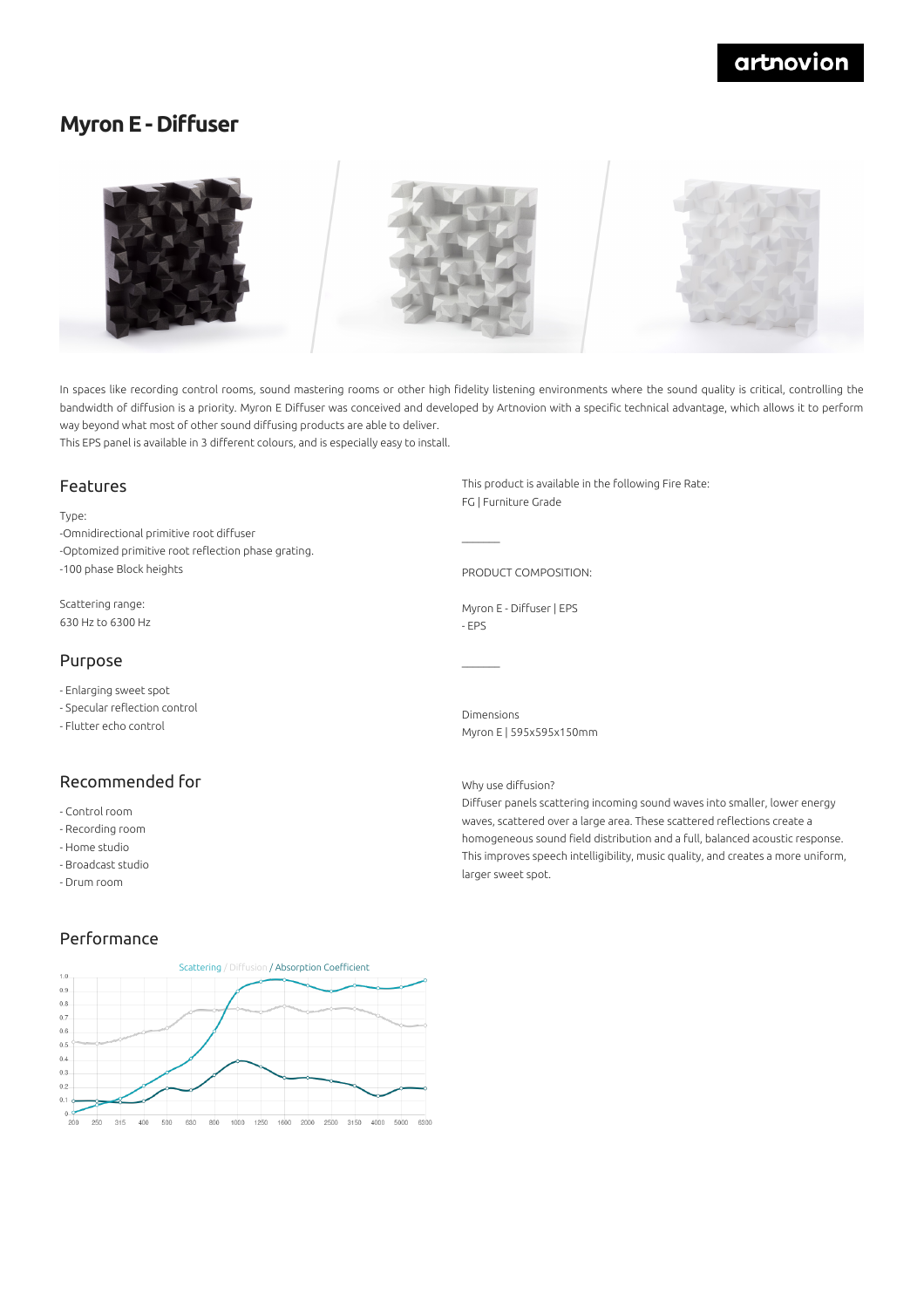# artnovion

## **Myron E - Diffuser**



In spaces like recording control rooms, sound mastering rooms or other high fidelity listening environments where the sound quality is critical, controlling the bandwidth of diffusion is a priority. Myron E Diffuser was conceived and developed by Artnovion with a specific technical advantage, which allows it to perform way beyond what most of other sound diffusing products are able to deliver. This EPS panel is available in 3 different colours, and is especially easy to install.

 $\mathcal{L}=\mathcal{L}$ 

 $\mathcal{L}=\mathcal{L}$ 

#### Features

Type:

-Omnidirectional primitive root diffuser -Optomized primitive root reflection phase grating. -100 phase Block heights

Scattering range: 630 Hz to 6300 Hz

### Purpose

- Enlarging sweet spot

- Specular reflection control
- Flutter echo control

## Recommended for

- Control room
- Recording room
- Home studio
- Broadcast studio
- Drum room

### Performance



This product is available in the following Fire Rate: FG | Furniture Grade

PRODUCT COMPOSITION:

Myron E - Diffuser | EPS - EPS

Dimensions Myron E | 595x595x150mm

#### Why use diffusion?

Diffuser panels scattering incoming sound waves into smaller, lower energy waves, scattered over a large area. These scattered reflections create a homogeneous sound field distribution and a full, balanced acoustic response. This improves speech intelligibility, music quality, and creates a more uniform, larger sweet spot.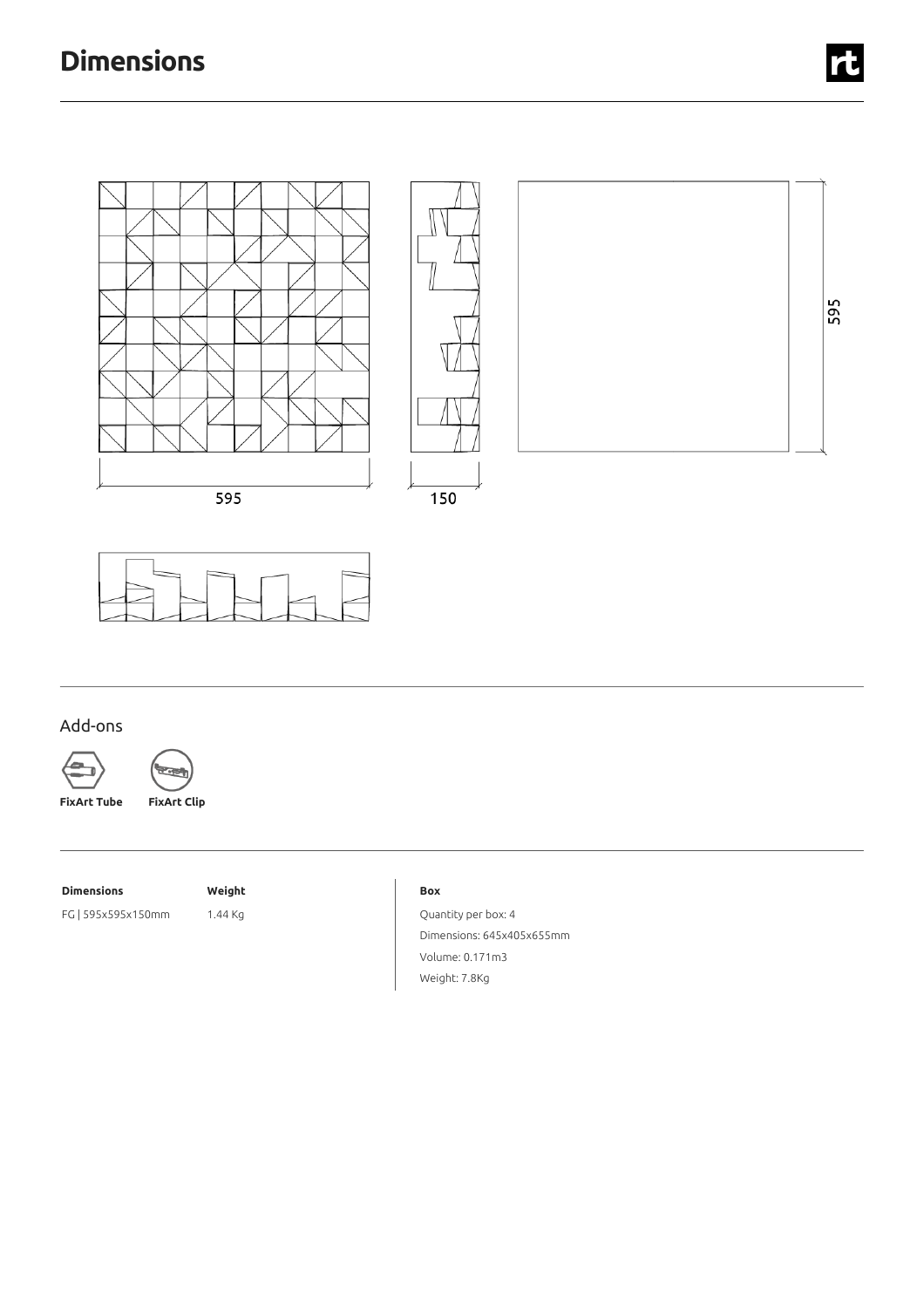# **Dimensions**





## Add-ons



₻

**FixArt Tube FixArt Clip**

**Dimensions Weight**

FG | 595x595x150mm 1.44 Kg

#### **Box**

Quantity per box: 4 Dimensions: 645x405x655mm Volume: 0.171m3 Weight: 7.8Kg